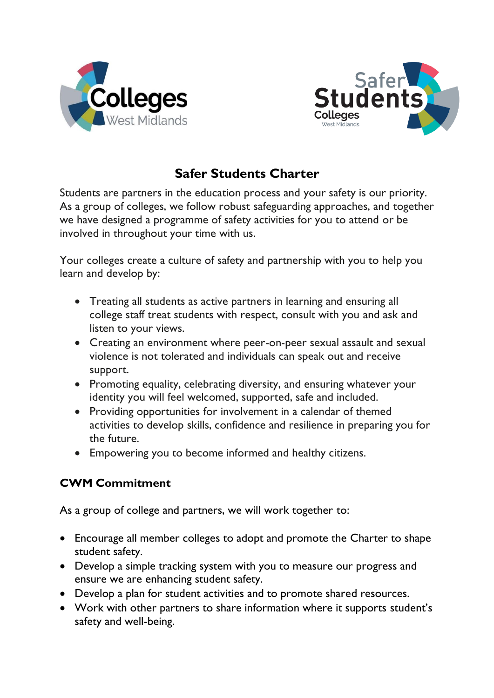



## **Safer Students Charter**

Students are partners in the education process and your safety is our priority. As a group of colleges, we follow robust safeguarding approaches, and together we have designed a programme of safety activities for you to attend or be involved in throughout your time with us.

Your colleges create a culture of safety and partnership with you to help you learn and develop by:

- Treating all students as active partners in learning and ensuring all college staff treat students with respect, consult with you and ask and listen to your views.
- Creating an environment where peer-on-peer sexual assault and sexual violence is not tolerated and individuals can speak out and receive support.
- Promoting equality, celebrating diversity, and ensuring whatever your identity you will feel welcomed, supported, safe and included.
- Providing opportunities for involvement in a calendar of themed activities to develop skills, confidence and resilience in preparing you for the future.
- Empowering you to become informed and healthy citizens.

## **CWM Commitment**

As a group of college and partners, we will work together to:

- Encourage all member colleges to adopt and promote the Charter to shape student safety.
- Develop a simple tracking system with you to measure our progress and ensure we are enhancing student safety.
- Develop a plan for student activities and to promote shared resources.
- Work with other partners to share information where it supports student's safety and well-being.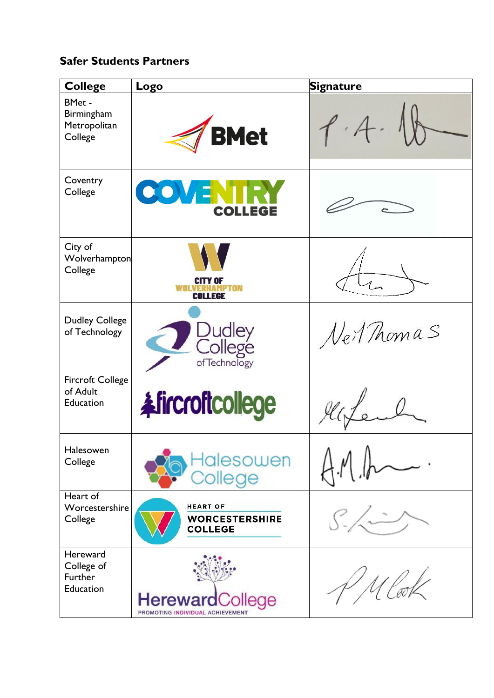## **Safer Students Partners**

| <b>College</b>                                          | Logo                                                       | <b>Signature</b> |
|---------------------------------------------------------|------------------------------------------------------------|------------------|
| <b>BMet -</b><br>Birmingham<br>Metropolitan<br>College  | <b>BMet</b>                                                |                  |
| Coventry<br>College                                     | <b>COVENTR</b><br><b>COLLEGE</b>                           |                  |
| City of<br>Wolverhampton<br>College                     | <b>CITY OF</b><br><b>VERHAMPTON</b><br>COLLEGE             |                  |
| <b>Dudley College</b><br>of Technology                  | Dudley<br>College<br>ofTechnology                          | Ner Thomas       |
| <b>Fircroft College</b><br>of Adult<br><b>Education</b> | <b>Afircroftcollege</b>                                    |                  |
| Halesowen<br>College                                    | <u>lalesowen</u><br>College                                |                  |
| Heart of<br>Worcestershire<br>College                   | <b>HEART OF</b><br><b>WORCESTERSHIRE</b><br><b>COLLEGE</b> |                  |
| Hereward<br>College of<br>Further<br>Education          | <b>HerewardCollege</b><br>PROMOTING INDIVIDUAL ACHIEVEMENT |                  |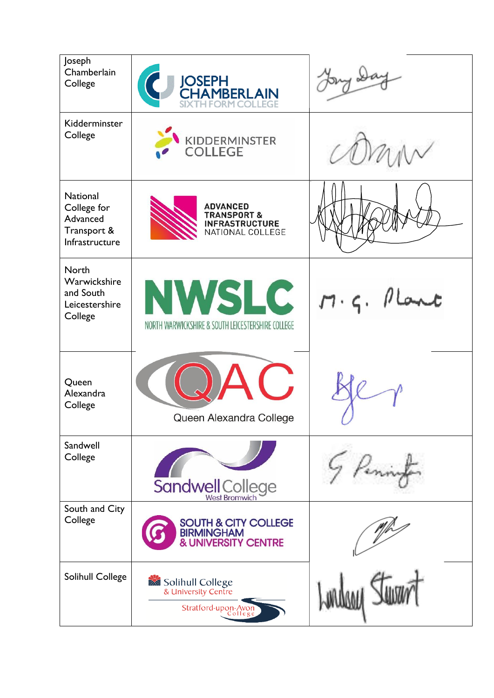| Joseph<br>Chamberlain<br>College                                            | <b>JOSEPH<br/>CHAMBERLAIN</b>                                                          |              |
|-----------------------------------------------------------------------------|----------------------------------------------------------------------------------------|--------------|
| Kidderminster<br>College                                                    | KIDDERMINSTER<br><b>COLLEGE</b>                                                        |              |
| <b>National</b><br>College for<br>Advanced<br>Transport &<br>Infrastructure | <b>ADVANCED</b><br><b>TRANSPORT &amp;</b><br><b>INFRASTRUCTURE</b><br>NATIONAL COLLEGE |              |
| <b>North</b><br>Warwickshire<br>and South<br>Leicestershire<br>College      | <b>NWSLC</b><br>NORTH WARWICKSHIRE & SOUTH LEICESTERSHIRE COLLEGE                      | $M.9.$ Plant |
| Queen<br>Alexandra<br>College                                               | $\sqrt{2}$<br>Queen Alexandra College                                                  |              |
| Sandwell<br>College                                                         | <b>Sandwell College</b>                                                                |              |
| South and City<br>College                                                   | <b>SOUTH &amp; CITY COLLEGE</b><br><b>BIRMINGHAM</b><br><b>&amp; UNIVERSITY CENTRE</b> |              |
| Solihull College                                                            | Solihull College<br>& University Centre<br>Stratford-upon-Avon<br>College              |              |